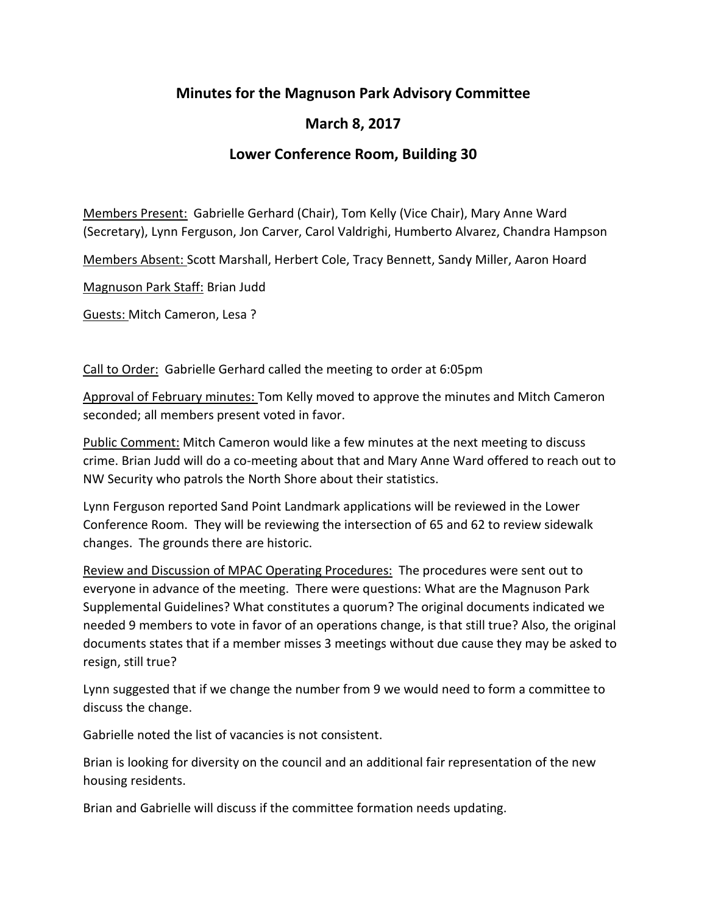## **Minutes for the Magnuson Park Advisory Committee**

## **March 8, 2017**

## **Lower Conference Room, Building 30**

Members Present: Gabrielle Gerhard (Chair), Tom Kelly (Vice Chair), Mary Anne Ward (Secretary), Lynn Ferguson, Jon Carver, Carol Valdrighi, Humberto Alvarez, Chandra Hampson

Members Absent: Scott Marshall, Herbert Cole, Tracy Bennett, Sandy Miller, Aaron Hoard

Magnuson Park Staff: Brian Judd

Guests: Mitch Cameron, Lesa ?

Call to Order: Gabrielle Gerhard called the meeting to order at 6:05pm

Approval of February minutes: Tom Kelly moved to approve the minutes and Mitch Cameron seconded; all members present voted in favor.

Public Comment: Mitch Cameron would like a few minutes at the next meeting to discuss crime. Brian Judd will do a co-meeting about that and Mary Anne Ward offered to reach out to NW Security who patrols the North Shore about their statistics.

Lynn Ferguson reported Sand Point Landmark applications will be reviewed in the Lower Conference Room. They will be reviewing the intersection of 65 and 62 to review sidewalk changes. The grounds there are historic.

Review and Discussion of MPAC Operating Procedures: The procedures were sent out to everyone in advance of the meeting. There were questions: What are the Magnuson Park Supplemental Guidelines? What constitutes a quorum? The original documents indicated we needed 9 members to vote in favor of an operations change, is that still true? Also, the original documents states that if a member misses 3 meetings without due cause they may be asked to resign, still true?

Lynn suggested that if we change the number from 9 we would need to form a committee to discuss the change.

Gabrielle noted the list of vacancies is not consistent.

Brian is looking for diversity on the council and an additional fair representation of the new housing residents.

Brian and Gabrielle will discuss if the committee formation needs updating.